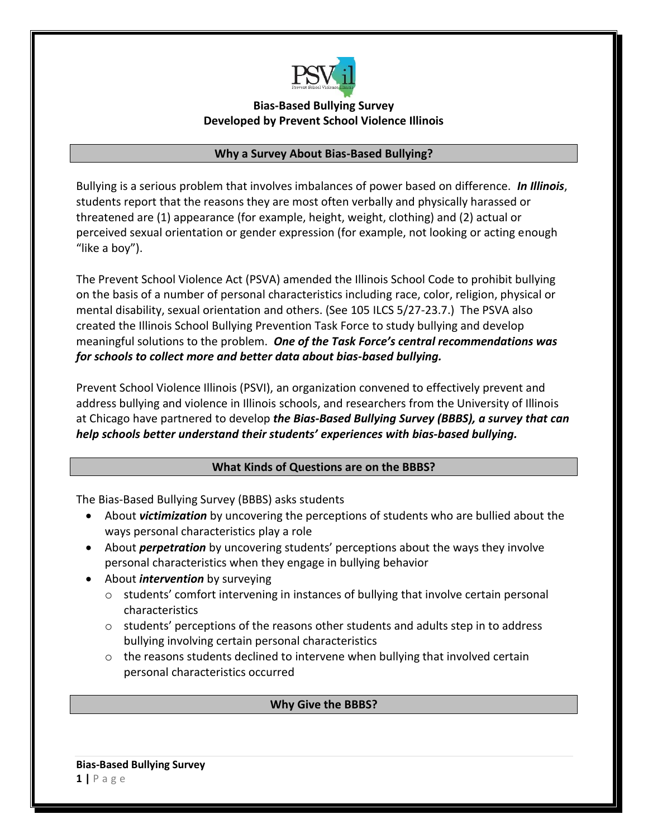

## **Bias-Based Bullying Survey Developed by Prevent School Violence Illinois**

### **Why a Survey About Bias-Based Bullying?**

Bullying is a serious problem that involves imbalances of power based on difference. *In Illinois*, students report that the reasons they are most often verbally and physically harassed or threatened are (1) appearance (for example, height, weight, clothing) and (2) actual or perceived sexual orientation or gender expression (for example, not looking or acting enough "like a boy").

The Prevent School Violence Act (PSVA) amended the Illinois School Code to prohibit bullying on the basis of a number of personal characteristics including race, color, religion, physical or mental disability, sexual orientation and others. (See 105 ILCS 5/27-23.7.) The PSVA also created the Illinois School Bullying Prevention Task Force to study bullying and develop meaningful solutions to the problem. *One of the Task Force's central recommendations was for schools to collect more and better data about bias-based bullying.*

Prevent School Violence Illinois (PSVI), an organization convened to effectively prevent and address bullying and violence in Illinois schools, and researchers from the University of Illinois at Chicago have partnered to develop *the Bias-Based Bullying Survey (BBBS), a survey that can help schools better understand their students' experiences with bias-based bullying.*

## **What Kinds of Questions are on the BBBS?**

The Bias-Based Bullying Survey (BBBS) asks students

- About *victimization* by uncovering the perceptions of students who are bullied about the ways personal characteristics play a role
- About *perpetration* by uncovering students' perceptions about the ways they involve personal characteristics when they engage in bullying behavior
- About *intervention* by surveying
	- o students' comfort intervening in instances of bullying that involve certain personal characteristics
	- $\circ$  students' perceptions of the reasons other students and adults step in to address bullying involving certain personal characteristics
	- $\circ$  the reasons students declined to intervene when bullying that involved certain personal characteristics occurred

## **Why Give the BBBS?**